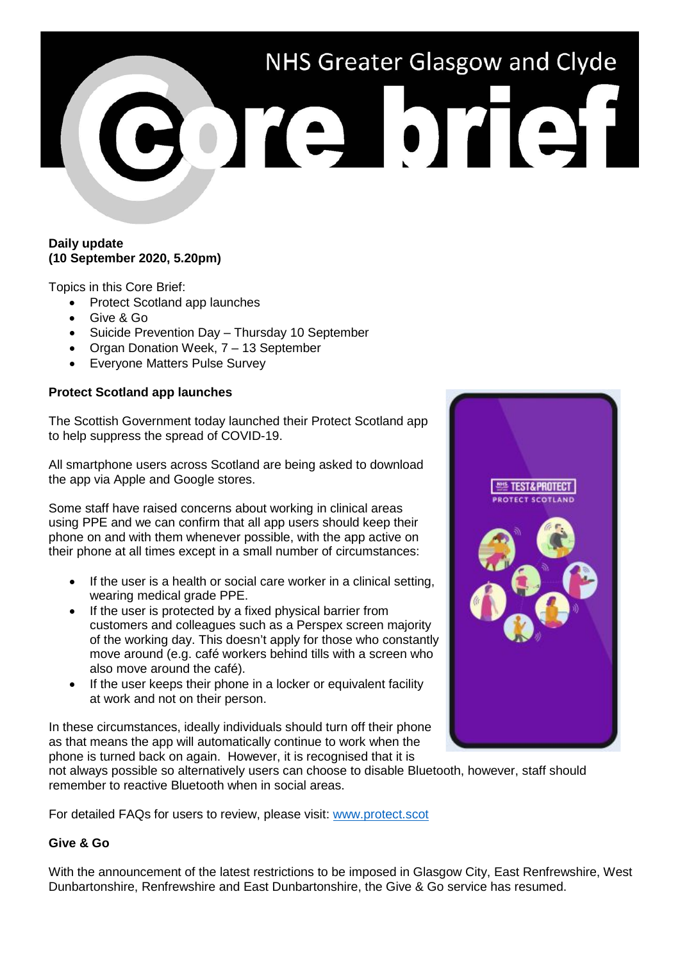# NHS Greater Glasgow and Clyde Porte brief

# **Daily update (10 September 2020, 5.20pm)**

Topics in this Core Brief:

- Protect Scotland app launches
- Give & Go
- Suicide Prevention Day Thursday 10 September
- Organ Donation Week, 7 13 September
- Everyone Matters Pulse Survey

# **Protect Scotland app launches**

The Scottish Government today launched their Protect Scotland app to help suppress the spread of COVID-19.

All smartphone users across Scotland are being asked to download the app via Apple and Google stores.

Some staff have raised concerns about working in clinical areas using PPE and we can confirm that all app users should keep their phone on and with them whenever possible, with the app active on their phone at all times except in a small number of circumstances:

- If the user is a health or social care worker in a clinical setting, wearing medical grade PPE.
- If the user is protected by a fixed physical barrier from customers and colleagues such as a Perspex screen majority of the working day. This doesn't apply for those who constantly move around (e.g. café workers behind tills with a screen who also move around the café).
- If the user keeps their phone in a locker or equivalent facility at work and not on their person.

In these circumstances, ideally individuals should turn off their phone as that means the app will automatically continue to work when the phone is turned back on again. However, it is recognised that it is

not always possible so alternatively users can choose to disable Bluetooth, however, staff should remember to reactive Bluetooth when in social areas.

For detailed FAQs for users to review, please visit: [www.protect.scot](http://www.protect.scot/)

# **Give & Go**

With the announcement of the latest restrictions to be imposed in Glasgow City, East Renfrewshire, West Dunbartonshire, Renfrewshire and East Dunbartonshire, the Give & Go service has resumed.

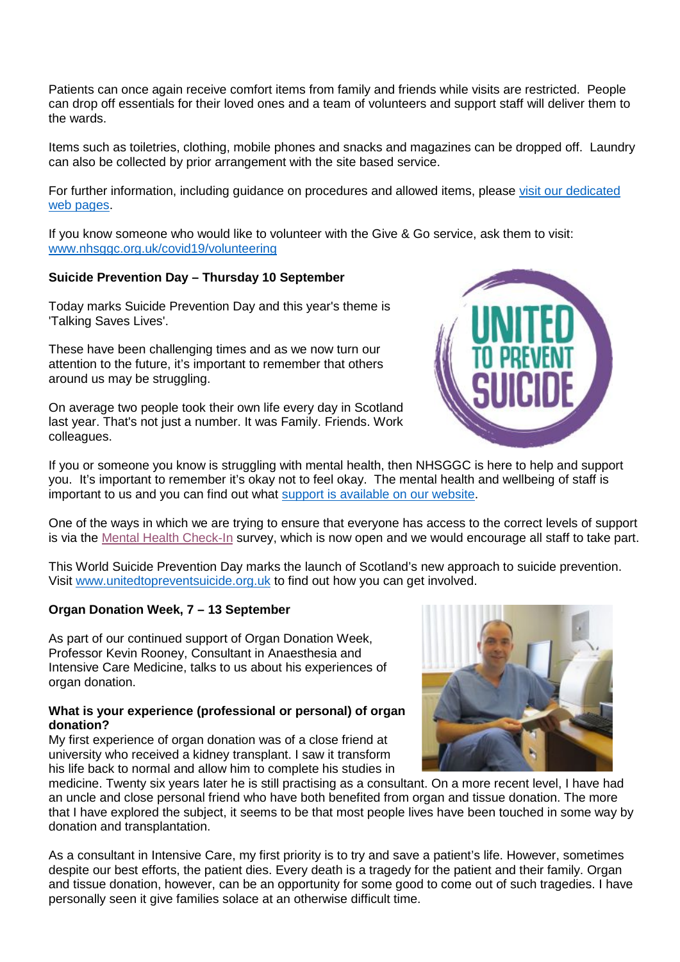Patients can once again receive comfort items from family and friends while visits are restricted. People can drop off essentials for their loved ones and a team of volunteers and support staff will deliver them to the wards.

Items such as toiletries, clothing, mobile phones and snacks and magazines can be dropped off. Laundry can also be collected by prior arrangement with the site based service.

For further information, including guidance on procedures and allowed items, please visit our dedicated [web pages.](https://www.nhsggc.org.uk/your-health/health-issues/covid-19-coronavirus/for-patients-the-public/patients-hospital-appointments-visiting/give-go/)

If you know someone who would like to volunteer with the Give & Go service, ask them to visit: [www.nhsggc.org.uk/covid19/volunteering](http://www.nhsggc.org.uk/covid19/volunteering)

# **Suicide Prevention Day – Thursday 10 September**

Today marks Suicide Prevention Day and this year's theme is 'Talking Saves Lives'.

These have been challenging times and as we now turn our attention to the future, it's important to remember that others around us may be struggling.

On average two people took their own life every day in Scotland last year. That's not just a number. It was Family. Friends. Work colleagues.

If you or someone you know is struggling with mental health, then NHSGGC is here to help and support you. It's important to remember it's okay not to feel okay. The mental health and wellbeing of staff is important to us and you can find out what [support is available on our website.](https://www.nhsggc.org.uk/your-health/health-issues/covid-19-coronavirus/for-nhsggc-staff/staff-support-and-wellbeing/)

One of the ways in which we are trying to ensure that everyone has access to the correct levels of support is via the [Mental Health Check-In](https://www.nhsggc.org.uk/about-us/professional-support-sites/mental-health-check-in) survey, which is now open and we would encourage all staff to take part.

This World Suicide Prevention Day marks the launch of Scotland's new approach to suicide prevention. Visit [www.unitedtopreventsuicide.org.uk](http://www.unitedtopreventsuicide.org.uk/) to find out how you can get involved.

# **Organ Donation Week, 7 – 13 September**

As part of our continued support of Organ Donation Week, Professor Kevin Rooney, Consultant in Anaesthesia and Intensive Care Medicine, talks to us about his experiences of organ donation.

### **What is your experience (professional or personal) of organ donation?**

My first experience of organ donation was of a close friend at university who received a kidney transplant. I saw it transform his life back to normal and allow him to complete his studies in

medicine. Twenty six years later he is still practising as a consultant. On a more recent level, I have had an uncle and close personal friend who have both benefited from organ and tissue donation. The more that I have explored the subject, it seems to be that most people lives have been touched in some way by donation and transplantation.

As a consultant in Intensive Care, my first priority is to try and save a patient's life. However, sometimes despite our best efforts, the patient dies. Every death is a tragedy for the patient and their family. Organ and tissue donation, however, can be an opportunity for some good to come out of such tragedies. I have personally seen it give families solace at an otherwise difficult time.